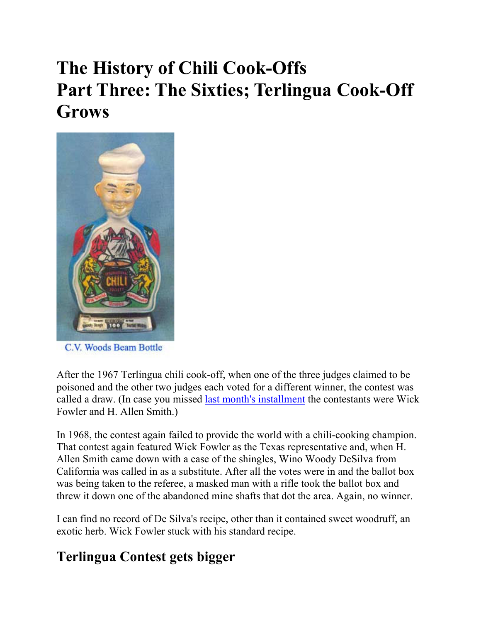# **The History of Chili Cook-Offs Part Three: The Sixties; Terlingua Cook-Off Grows**



C.V. Woods Beam Bottle

After the 1967 Terlingua chili cook-off, when one of the three judges claimed to be poisoned and the other two judges each voted for a different winner, the contest was called a draw. (In case you missed last month's installment the contestants were Wick Fowler and H. Allen Smith.)

In 1968, the contest again failed to provide the world with a chili-cooking champion. That contest again featured Wick Fowler as the Texas representative and, when H. Allen Smith came down with a case of the shingles, Wino Woody DeSilva from California was called in as a substitute. After all the votes were in and the ballot box was being taken to the referee, a masked man with a rifle took the ballot box and threw it down one of the abandoned mine shafts that dot the area. Again, no winner.

I can find no record of De Silva's recipe, other than it contained sweet woodruff, an exotic herb. Wick Fowler stuck with his standard recipe.

# **Terlingua Contest gets bigger**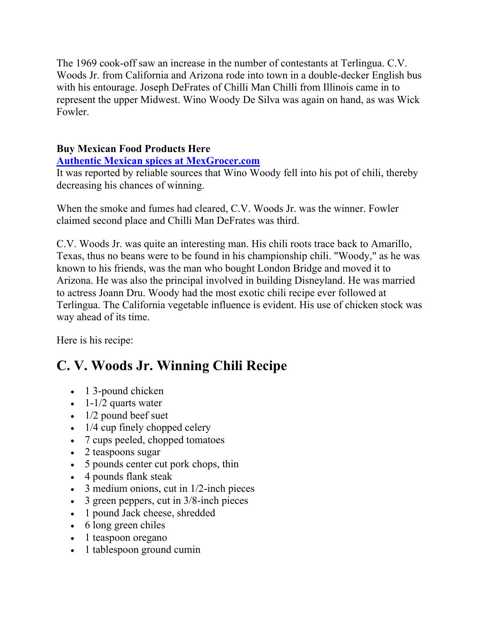The 1969 cook-off saw an increase in the number of contestants at Terlingua. C.V. Woods Jr. from California and Arizona rode into town in a double-decker English bus with his entourage. Joseph DeFrates of Chilli Man Chilli from Illinois came in to represent the upper Midwest. Wino Woody De Silva was again on hand, as was Wick Fowler.

### **Buy Mexican Food Products Here**

#### **Authentic Mexican spices at MexGrocer.com**

It was reported by reliable sources that Wino Woody fell into his pot of chili, thereby decreasing his chances of winning.

When the smoke and fumes had cleared, C.V. Woods Jr. was the winner. Fowler claimed second place and Chilli Man DeFrates was third.

C.V. Woods Jr. was quite an interesting man. His chili roots trace back to Amarillo, Texas, thus no beans were to be found in his championship chili. "Woody," as he was known to his friends, was the man who bought London Bridge and moved it to Arizona. He was also the principal involved in building Disneyland. He was married to actress Joann Dru. Woody had the most exotic chili recipe ever followed at Terlingua. The California vegetable influence is evident. His use of chicken stock was way ahead of its time.

Here is his recipe:

## **C. V. Woods Jr. Winning Chili Recipe**

- 1 3-pound chicken
- $\bullet$  1-1/2 quarts water
- $\bullet$  1/2 pound beef suet
- $\cdot$  1/4 cup finely chopped celery
- 7 cups peeled, chopped tomatoes
- 2 teaspoons sugar
- 5 pounds center cut pork chops, thin
- 4 pounds flank steak
- $\bullet$  3 medium onions, cut in 1/2-inch pieces
- $\bullet$  3 green peppers, cut in 3/8-inch pieces
- 1 pound Jack cheese, shredded
- 6 long green chiles
- 1 teaspoon oregano
- 1 tablespoon ground cumin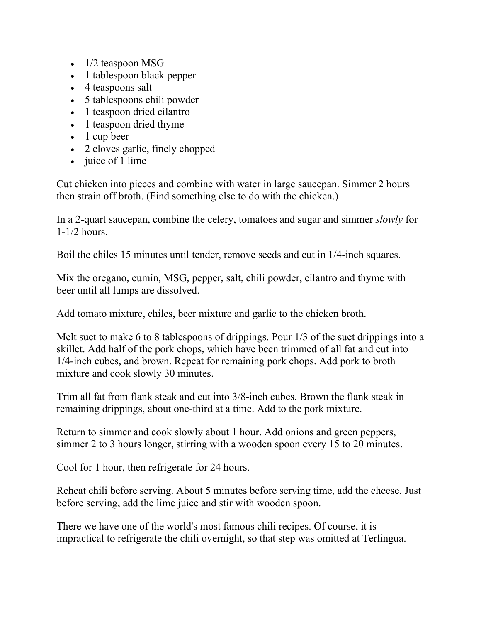- $\bullet$  1/2 teaspoon MSG
- 1 tablespoon black pepper
- 4 teaspoons salt
- 5 tablespoons chili powder
- 1 teaspoon dried cilantro
- 1 teaspoon dried thyme
- $\bullet$  1 cup beer
- 2 cloves garlic, finely chopped
- $\bullet$  juice of 1 lime

Cut chicken into pieces and combine with water in large saucepan. Simmer 2 hours then strain off broth. (Find something else to do with the chicken.)

In a 2-quart saucepan, combine the celery, tomatoes and sugar and simmer *slowly* for 1-1/2 hours.

Boil the chiles 15 minutes until tender, remove seeds and cut in 1/4-inch squares.

Mix the oregano, cumin, MSG, pepper, salt, chili powder, cilantro and thyme with beer until all lumps are dissolved.

Add tomato mixture, chiles, beer mixture and garlic to the chicken broth.

Melt suet to make 6 to 8 tablespoons of drippings. Pour 1/3 of the suet drippings into a skillet. Add half of the pork chops, which have been trimmed of all fat and cut into 1/4-inch cubes, and brown. Repeat for remaining pork chops. Add pork to broth mixture and cook slowly 30 minutes.

Trim all fat from flank steak and cut into 3/8-inch cubes. Brown the flank steak in remaining drippings, about one-third at a time. Add to the pork mixture.

Return to simmer and cook slowly about 1 hour. Add onions and green peppers, simmer 2 to 3 hours longer, stirring with a wooden spoon every 15 to 20 minutes.

Cool for 1 hour, then refrigerate for 24 hours.

Reheat chili before serving. About 5 minutes before serving time, add the cheese. Just before serving, add the lime juice and stir with wooden spoon.

There we have one of the world's most famous chili recipes. Of course, it is impractical to refrigerate the chili overnight, so that step was omitted at Terlingua.